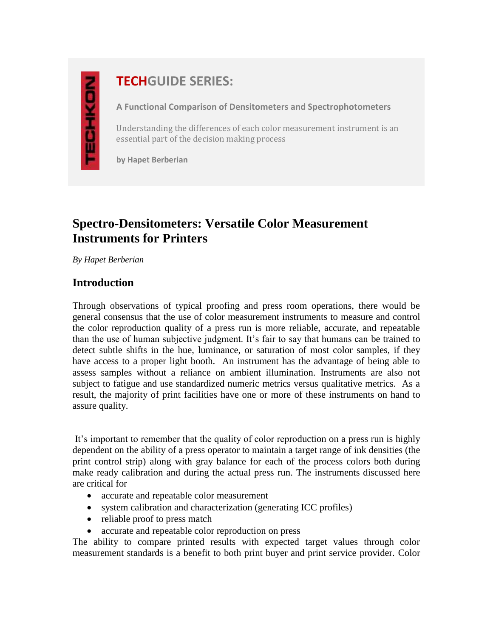# **TECHGUIDE SERIES:**

**A Functional Comparison of Densitometers and Spectrophotometers**

Understanding the differences of each color measurement instrument is an essential part of the decision making process

**by Hapet Berberian**

# **Spectro-Densitometers: Versatile Color Measurement Instruments for Printers**

*By Hapet Berberian*

## **Introduction**

Through observations of typical proofing and press room operations, there would be general consensus that the use of color measurement instruments to measure and control the color reproduction quality of a press run is more reliable, accurate, and repeatable than the use of human subjective judgment. It's fair to say that humans can be trained to detect subtle shifts in the hue, luminance, or saturation of most color samples, if they have access to a proper light booth. An instrument has the advantage of being able to assess samples without a reliance on ambient illumination. Instruments are also not subject to fatigue and use standardized numeric metrics versus qualitative metrics. As a result, the majority of print facilities have one or more of these instruments on hand to assure quality.

It's important to remember that the quality of color reproduction on a press run is highly dependent on the ability of a press operator to maintain a target range of ink densities (the print control strip) along with gray balance for each of the process colors both during make ready calibration and during the actual press run. The instruments discussed here are critical for

- accurate and repeatable color measurement
- system calibration and characterization (generating ICC profiles)
- reliable proof to press match
- accurate and repeatable color reproduction on press

The ability to compare printed results with expected target values through color measurement standards is a benefit to both print buyer and print service provider. Color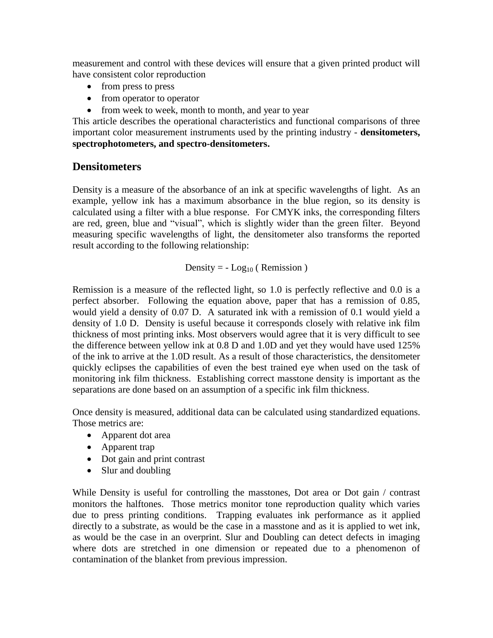measurement and control with these devices will ensure that a given printed product will have consistent color reproduction

- from press to press
- from operator to operator
- from week to week, month to month, and year to year

This article describes the operational characteristics and functional comparisons of three important color measurement instruments used by the printing industry - **densitometers, spectrophotometers, and spectro-densitometers.**

## **Densitometers**

Density is a measure of the absorbance of an ink at specific wavelengths of light. As an example, yellow ink has a maximum absorbance in the blue region, so its density is calculated using a filter with a blue response. For CMYK inks, the corresponding filters are red, green, blue and "visual", which is slightly wider than the green filter. Beyond measuring specific wavelengths of light, the densitometer also transforms the reported result according to the following relationship:

Density =  $-$  Log<sub>10</sub> (Remission)

Remission is a measure of the reflected light, so 1.0 is perfectly reflective and 0.0 is a perfect absorber. Following the equation above, paper that has a remission of 0.85, would yield a density of 0.07 D. A saturated ink with a remission of 0.1 would yield a density of 1.0 D. Density is useful because it corresponds closely with relative ink film thickness of most printing inks. Most observers would agree that it is very difficult to see the difference between yellow ink at 0.8 D and 1.0D and yet they would have used 125% of the ink to arrive at the 1.0D result. As a result of those characteristics, the densitometer quickly eclipses the capabilities of even the best trained eye when used on the task of monitoring ink film thickness. Establishing correct masstone density is important as the separations are done based on an assumption of a specific ink film thickness.

Once density is measured, additional data can be calculated using standardized equations. Those metrics are:

- Apparent dot area
- Apparent trap
- Dot gain and print contrast
- Slur and doubling

While Density is useful for controlling the masstones, Dot area or Dot gain / contrast monitors the halftones. Those metrics monitor tone reproduction quality which varies due to press printing conditions. Trapping evaluates ink performance as it applied directly to a substrate, as would be the case in a masstone and as it is applied to wet ink, as would be the case in an overprint. Slur and Doubling can detect defects in imaging where dots are stretched in one dimension or repeated due to a phenomenon of contamination of the blanket from previous impression.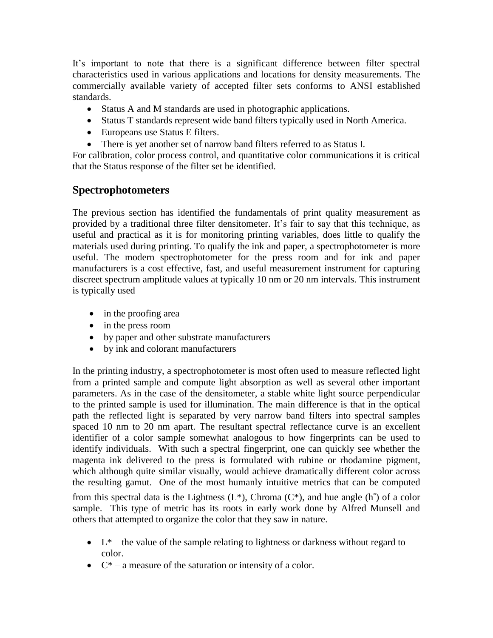It's important to note that there is a significant difference between filter spectral characteristics used in various applications and locations for density measurements. The commercially available variety of accepted filter sets conforms to ANSI established standards.

- Status A and M standards are used in photographic applications.
- Status T standards represent wide band filters typically used in North America.
- Europeans use Status E filters.
- There is yet another set of narrow band filters referred to as Status I.

For calibration, color process control, and quantitative color communications it is critical that the Status response of the filter set be identified.

## **Spectrophotometers**

The previous section has identified the fundamentals of print quality measurement as provided by a traditional three filter densitometer. It's fair to say that this technique, as useful and practical as it is for monitoring printing variables, does little to qualify the materials used during printing. To qualify the ink and paper, a spectrophotometer is more useful. The modern spectrophotometer for the press room and for ink and paper manufacturers is a cost effective, fast, and useful measurement instrument for capturing discreet spectrum amplitude values at typically 10 nm or 20 nm intervals. This instrument is typically used

- in the proofing area
- in the press room
- by paper and other substrate manufacturers
- by ink and colorant manufacturers

In the printing industry, a spectrophotometer is most often used to measure reflected light from a printed sample and compute light absorption as well as several other important parameters. As in the case of the densitometer, a stable white light source perpendicular to the printed sample is used for illumination. The main difference is that in the optical path the reflected light is separated by very narrow band filters into spectral samples spaced 10 nm to 20 nm apart. The resultant spectral reflectance curve is an excellent identifier of a color sample somewhat analogous to how fingerprints can be used to identify individuals. With such a spectral fingerprint, one can quickly see whether the magenta ink delivered to the press is formulated with rubine or rhodamine pigment, which although quite similar visually, would achieve dramatically different color across the resulting gamut. One of the most humanly intuitive metrics that can be computed

from this spectral data is the Lightness  $(L^*)$ , Chroma  $(C^*)$ , and hue angle  $(h^*)$  of a color sample. This type of metric has its roots in early work done by Alfred Munsell and others that attempted to organize the color that they saw in nature.

- $\bullet$  L<sup>\*</sup> the value of the sample relating to lightness or darkness without regard to color.
- $\bullet$   $\mathbb{C}^*$  a measure of the saturation or intensity of a color.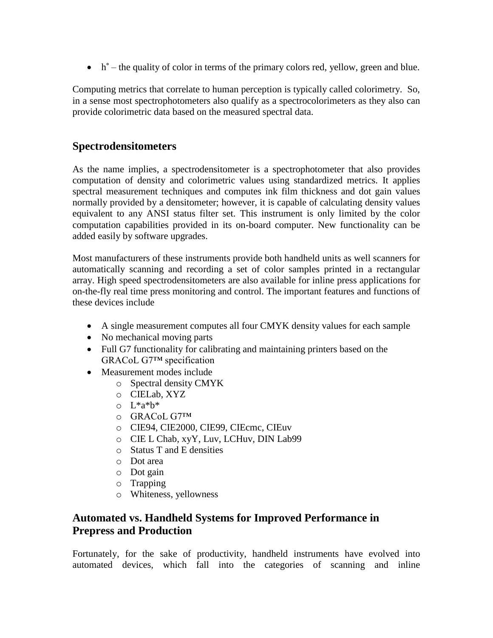$\bullet$  h° – the quality of color in terms of the primary colors red, yellow, green and blue.

Computing metrics that correlate to human perception is typically called colorimetry. So, in a sense most spectrophotometers also qualify as a spectrocolorimeters as they also can provide colorimetric data based on the measured spectral data.

## **Spectrodensitometers**

As the name implies, a spectrodensitometer is a spectrophotometer that also provides computation of density and colorimetric values using standardized metrics. It applies spectral measurement techniques and computes ink film thickness and dot gain values normally provided by a densitometer; however, it is capable of calculating density values equivalent to any ANSI status filter set. This instrument is only limited by the color computation capabilities provided in its on-board computer. New functionality can be added easily by software upgrades.

Most manufacturers of these instruments provide both handheld units as well scanners for automatically scanning and recording a set of color samples printed in a rectangular array. High speed spectrodensitometers are also available for inline press applications for on-the-fly real time press monitoring and control. The important features and functions of these devices include

- A single measurement computes all four CMYK density values for each sample
- No mechanical moving parts
- Full G7 functionality for calibrating and maintaining printers based on the GRACoL G7™ specification
- Measurement modes include
	- o Spectral density CMYK
	- o CIELab, XYZ
	- $O \mid L^*a^*b^*$
	- o GRACoL G7™
	- o CIE94, CIE2000, CIE99, CIEcmc, CIEuv
	- o CIE L Chab, xyY, Luv, LCHuv, DIN Lab99
	- o Status T and E densities
	- o Dot area
	- o Dot gain
	- o Trapping
	- o Whiteness, yellowness

## **Automated vs. Handheld Systems for Improved Performance in Prepress and Production**

Fortunately, for the sake of productivity, handheld instruments have evolved into automated devices, which fall into the categories of scanning and inline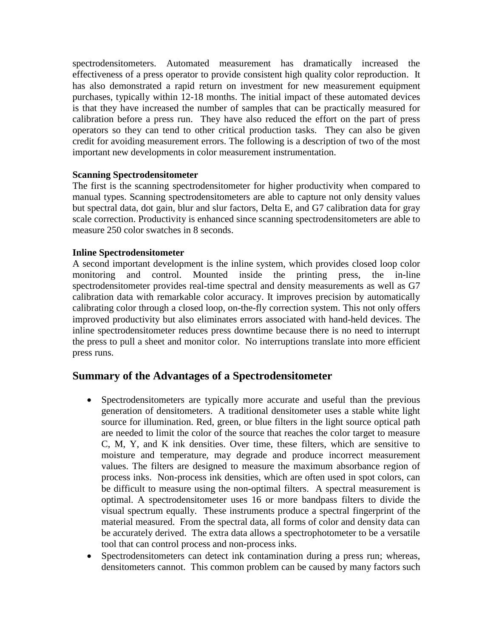spectrodensitometers. Automated measurement has dramatically increased the effectiveness of a press operator to provide consistent high quality color reproduction. It has also demonstrated a rapid return on investment for new measurement equipment purchases, typically within 12-18 months. The initial impact of these automated devices is that they have increased the number of samples that can be practically measured for calibration before a press run. They have also reduced the effort on the part of press operators so they can tend to other critical production tasks. They can also be given credit for avoiding measurement errors. The following is a description of two of the most important new developments in color measurement instrumentation.

#### **Scanning Spectrodensitometer**

The first is the scanning spectrodensitometer for higher productivity when compared to manual types. Scanning spectrodensitometers are able to capture not only density values but spectral data, dot gain, blur and slur factors, Delta E, and G7 calibration data for gray scale correction. Productivity is enhanced since scanning spectrodensitometers are able to measure 250 color swatches in 8 seconds.

#### **Inline Spectrodensitometer**

A second important development is the inline system, which provides closed loop color monitoring and control. Mounted inside the printing press, the in-line spectrodensitometer provides real-time spectral and density measurements as well as G7 calibration data with remarkable color accuracy. It improves precision by automatically calibrating color through a closed loop, on-the-fly correction system. This not only offers improved productivity but also eliminates errors associated with hand-held devices. The inline spectrodensitometer reduces press downtime because there is no need to interrupt the press to pull a sheet and monitor color. No interruptions translate into more efficient press runs.

#### **Summary of the Advantages of a Spectrodensitometer**

- Spectrodensitometers are typically more accurate and useful than the previous generation of densitometers. A traditional densitometer uses a stable white light source for illumination. Red, green, or blue filters in the light source optical path are needed to limit the color of the source that reaches the color target to measure C, M, Y, and K ink densities. Over time, these filters, which are sensitive to moisture and temperature, may degrade and produce incorrect measurement values. The filters are designed to measure the maximum absorbance region of process inks. Non-process ink densities, which are often used in spot colors, can be difficult to measure using the non-optimal filters. A spectral measurement is optimal. A spectrodensitometer uses 16 or more bandpass filters to divide the visual spectrum equally. These instruments produce a spectral fingerprint of the material measured. From the spectral data, all forms of color and density data can be accurately derived. The extra data allows a spectrophotometer to be a versatile tool that can control process and non-process inks.
- Spectrodensitometers can detect ink contamination during a press run; whereas, densitometers cannot. This common problem can be caused by many factors such